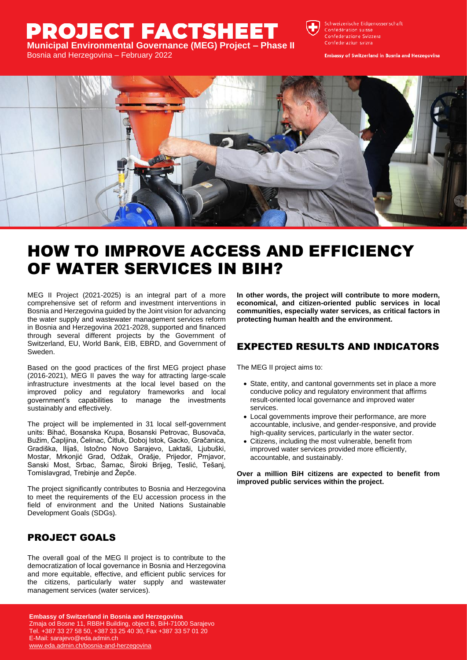## **PROJECT FACTSHEET Municipal Environmental Governance (MEG) Project – Phase II**

Bosnia and Herzegovina – February 2022



Schweizerische Eidgenossenschaft Confédération suisse Confederazione Svizzera Confederaziun svizra

**Embassy of Switzerland in Bosnia and Herzegovina** 



## HOW TO IMPROVE ACCESS AND EFFICIENCY OF WATER SERVICES IN BIH?

MEG II Project (2021-2025) is an integral part of a more comprehensive set of reform and investment interventions in Bosnia and Herzegovina guided by the Joint vision for advancing the water supply and wastewater management services reform in Bosnia and Herzegovina 2021-2028, supported and financed through several different projects by the Government of Switzerland, EU, World Bank, EIB, EBRD, and Government of Sweden.

Based on the good practices of the first MEG project phase (2016-2021), MEG II paves the way for attracting large-scale infrastructure investments at the local level based on the improved policy and regulatory frameworks and local government's capabilities to manage the investments sustainably and effectively.

The project will be implemented in 31 local self-government units: Bihać, Bosanska Krupa, Bosanski Petrovac, Busovača, Bužim, Čapljina, Čelinac, Čitluk, Doboj Istok, Gacko, Gračanica, Gradiška, Ilijaš, Istočno Novo Sarajevo, Laktaši, Ljubuški, Mostar, Mrkonjić Grad, Odžak, Orašje, Prijedor, Prnjavor, Sanski Most, Srbac, Šamac, Široki Brijeg, Teslić, Tešanj, Tomislavgrad, Trebinje and Žepče.

The project significantly contributes to Bosnia and Herzegovina to meet the requirements of the EU accession process in the field of environment and the United Nations Sustainable Development Goals (SDGs).

## PROJECT GOALS

The overall goal of the MEG II project is to contribute to the democratization of local governance in Bosnia and Herzegovina and more equitable, effective, and efficient public services for the citizens, particularly water supply and wastewater management services (water services).

**In other words, the project will contribute to more modern, economical, and citizen-oriented public services in local communities, especially water services, as critical factors in protecting human health and the environment.**

## EXPECTED RESULTS AND INDICATORS

The MEG II project aims to:

- State, entity, and cantonal governments set in place a more conducive policy and regulatory environment that affirms result-oriented local governance and improved water services.
- Local governments improve their performance, are more accountable, inclusive, and gender-responsive, and provide high-quality services, particularly in the water sector.
- Citizens, including the most vulnerable, benefit from improved water services provided more efficiently, accountable, and sustainably.

**Over a million BiH citizens are expected to benefit from improved public services within the project.**